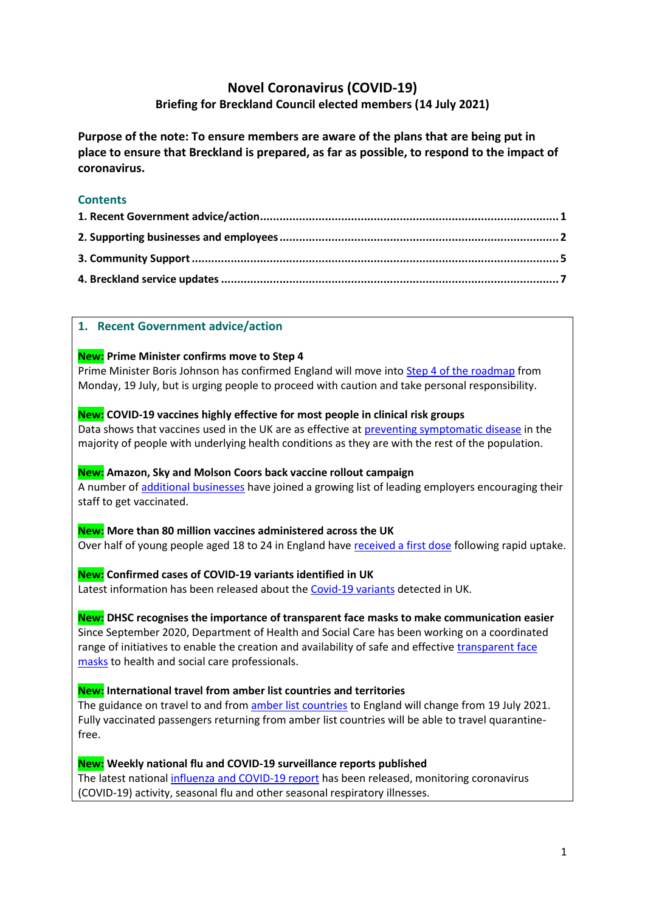# **Novel Coronavirus (COVID-19)**

# **Briefing for Breckland Council elected members (14 July 2021)**

**Purpose of the note: To ensure members are aware of the plans that are being put in place to ensure that Breckland is prepared, as far as possible, to respond to the impact of coronavirus.**

# **Contents**

# <span id="page-0-0"></span>**1. Recent Government advice/action**

# **New: Prime Minister confirms move to Step 4**

Prime Minister Boris Johnson has confirmed England will move into [Step 4 of the roadmap](https://www.gov.uk/government/news/prime-minister-confirms-move-to-step-4) from Monday, 19 July, but is urging people to proceed with caution and take personal responsibility.

# **New: COVID-19 vaccines highly effective for most people in clinical risk groups**

Data shows that vaccines used in the UK are as effective at [preventing symptomatic disease](https://www.gov.uk/government/news/covid-19-vaccines-highly-effective-in-most-people-in-clinical-risk-groups) in the majority of people with underlying health conditions as they are with the rest of the population.

# **New: Amazon, Sky and Molson Coors back vaccine rollout campaign**

A number o[f additional businesses](https://www.gov.uk/government/news/amazon-sky-and-molson-coors-back-vaccine-rollout-campaign) have joined a growing list of leading employers encouraging their staff to get vaccinated.

#### **New: More than 80 million vaccines administered across the UK** Over half of young people aged 18 to 24 in England have [received a first dose](https://www.gov.uk/government/news/more-than-80-million-vaccines-administered-across-the-uk) following rapid uptake.

# **New: Confirmed cases of COVID-19 variants identified in UK**

Latest information has been released about the [Covid-19 variants](https://www.gov.uk/government/news/confirmed-cases-of-covid-19-variants-identified-in-uk) detected in UK.

# **New: DHSC recognises the importance of transparent face masks to make communication easier**

Since September 2020, Department of Health and Social Care has been working on a coordinated range of initiatives to enable the creation and availability of safe and effective [transparent face](https://www.gov.uk/government/news/dhsc-recognises-the-importance-of-transparent-face-masks-to-make-communication-easier)  [masks](https://www.gov.uk/government/news/dhsc-recognises-the-importance-of-transparent-face-masks-to-make-communication-easier) to health and social care professionals.

# **New: International travel from amber list countries and territories**

The guidance on travel to and from [amber list countries](https://www.gov.uk/government/speeches/international-travel-from-amber-list-countries-and-territories) to England will change from 19 July 2021. Fully vaccinated passengers returning from amber list countries will be able to travel quarantinefree.

## **New: Weekly national flu and COVID-19 surveillance reports published**

The latest nationa[l influenza and COVID-19 report](https://www.gov.uk/government/news/weekly-national-flu-and-covid-19-surveillance-reports-published) has been released, monitoring coronavirus (COVID-19) activity, seasonal flu and other seasonal respiratory illnesses.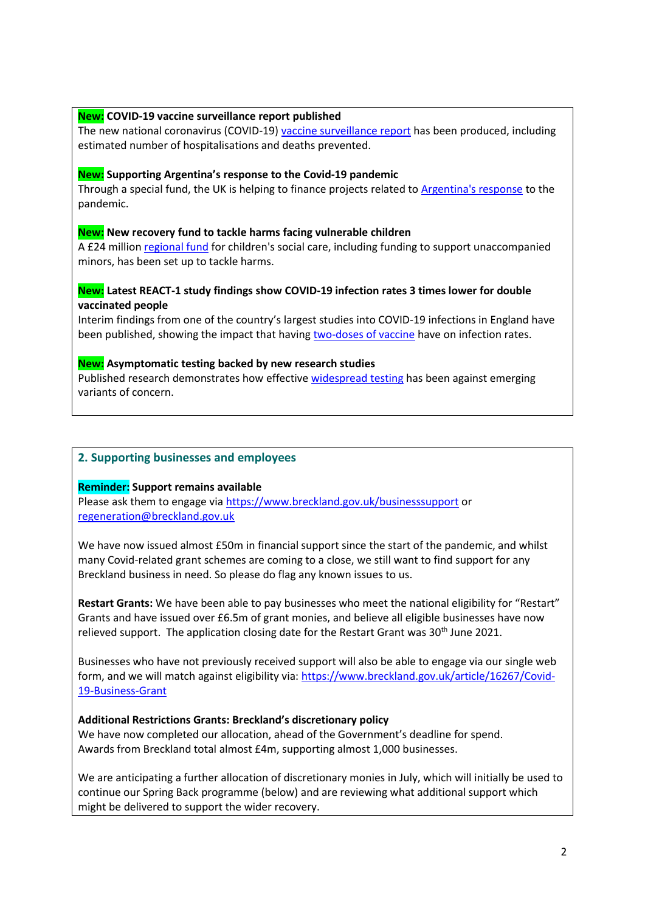#### **New: COVID-19 vaccine surveillance report published**

The new national coronavirus (COVID-19[\) vaccine surveillance report](https://www.gov.uk/government/news/covid-19-vaccine-surveillance-report-published) has been produced, including estimated number of hospitalisations and deaths prevented.

#### **New: Supporting Argentina's response to the Covid-19 pandemic**

Through a special fund, the UK is helping to finance projects related t[o Argentina's response](https://www.gov.uk/government/news/2020-programme-fund-supporting-argentinas-response-to-the-covid-19-pandemic) to the pandemic.

#### **New: New recovery fund to tackle harms facing vulnerable children**

A £24 million [regional fund](https://www.gov.uk/government/news/new-recovery-fund-to-tackle-harms-facing-vulnerable-children) for children's social care, including funding to support unaccompanied minors, has been set up to tackle harms.

## **New: Latest REACT-1 study findings show COVID-19 infection rates 3 times lower for double vaccinated people**

Interim findings from one of the country's largest studies into COVID-19 infections in England have been published, showing the impact that having [two-doses of vaccine](https://www.gov.uk/government/news/latest-react-1-study-findings-show-covid-19-infection-rates-three-times-lower-for-double-vaccinated-people) have on infection rates.

#### **New: Asymptomatic testing backed by new research studies**

Published research demonstrates how effective [widespread testing](https://www.gov.uk/government/news/asymptomatic-testing-backed-by-new-research-studies) has been against emerging variants of concern.

## <span id="page-1-0"></span>**2. Supporting businesses and employees**

#### **Reminder: Support remains available**

Please ask them to engage vi[a https://www.breckland.gov.uk/businesssupport](https://www.breckland.gov.uk/businesssupport) or [regeneration@breckland.gov.uk](mailto:regeneration@breckland.gov.uk)

We have now issued almost £50m in financial support since the start of the pandemic, and whilst many Covid-related grant schemes are coming to a close, we still want to find support for any Breckland business in need. So please do flag any known issues to us.

**Restart Grants:** We have been able to pay businesses who meet the national eligibility for "Restart" Grants and have issued over £6.5m of grant monies, and believe all eligible businesses have now relieved support. The application closing date for the Restart Grant was 30<sup>th</sup> June 2021.

Businesses who have not previously received support will also be able to engage via our single web form, and we will match against eligibility via: [https://www.breckland.gov.uk/article/16267/Covid-](https://www.breckland.gov.uk/article/16267/Covid-19-Business-Grant)[19-Business-Grant](https://www.breckland.gov.uk/article/16267/Covid-19-Business-Grant)

#### **Additional Restrictions Grants: Breckland's discretionary policy**

We have now completed our allocation, ahead of the Government's deadline for spend. Awards from Breckland total almost £4m, supporting almost 1,000 businesses.

We are anticipating a further allocation of discretionary monies in July, which will initially be used to continue our Spring Back programme (below) and are reviewing what additional support which might be delivered to support the wider recovery.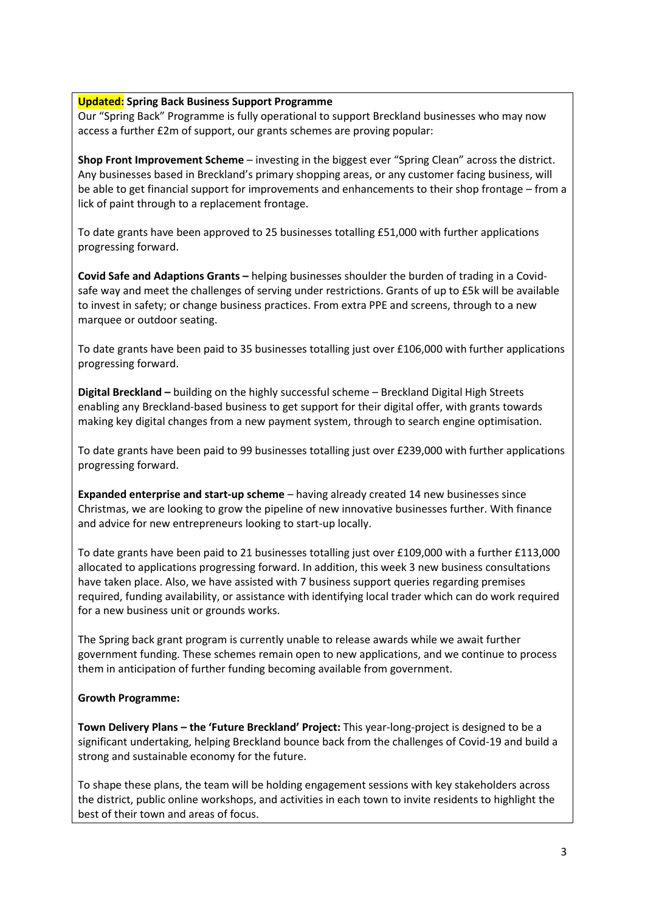#### **Updated: Spring Back Business Support Programme**

Our "Spring Back" Programme is fully operational to support Breckland businesses who may now access a further £2m of support, our grants schemes are proving popular:

**Shop Front Improvement Scheme** – investing in the biggest ever "Spring Clean" across the district. Any businesses based in Breckland's primary shopping areas, or any customer facing business, will be able to get financial support for improvements and enhancements to their shop frontage – from a lick of paint through to a replacement frontage.

To date grants have been approved to 25 businesses totalling £51,000 with further applications progressing forward.

**Covid Safe and Adaptions Grants –** helping businesses shoulder the burden of trading in a Covidsafe way and meet the challenges of serving under restrictions. Grants of up to £5k will be available to invest in safety; or change business practices. From extra PPE and screens, through to a new marquee or outdoor seating.

To date grants have been paid to 35 businesses totalling just over £106,000 with further applications progressing forward.

**Digital Breckland –** building on the highly successful scheme – Breckland Digital High Streets enabling any Breckland-based business to get support for their digital offer, with grants towards making key digital changes from a new payment system, through to search engine optimisation.

To date grants have been paid to 99 businesses totalling just over £239,000 with further applications progressing forward.

**Expanded enterprise and start-up scheme** – having already created 14 new businesses since Christmas, we are looking to grow the pipeline of new innovative businesses further. With finance and advice for new entrepreneurs looking to start-up locally.

To date grants have been paid to 21 businesses totalling just over £109,000 with a further £113,000 allocated to applications progressing forward. In addition, this week 3 new business consultations have taken place. Also, we have assisted with 7 business support queries regarding premises required, funding availability, or assistance with identifying local trader which can do work required for a new business unit or grounds works.

The Spring back grant program is currently unable to release awards while we await further government funding. These schemes remain open to new applications, and we continue to process them in anticipation of further funding becoming available from government.

#### **Growth Programme:**

**Town Delivery Plans – the 'Future Breckland' Project:** This year-long-project is designed to be a significant undertaking, helping Breckland bounce back from the challenges of Covid-19 and build a strong and sustainable economy for the future.

To shape these plans, the team will be holding engagement sessions with key stakeholders across the district, public online workshops, and activities in each town to invite residents to highlight the best of their town and areas of focus.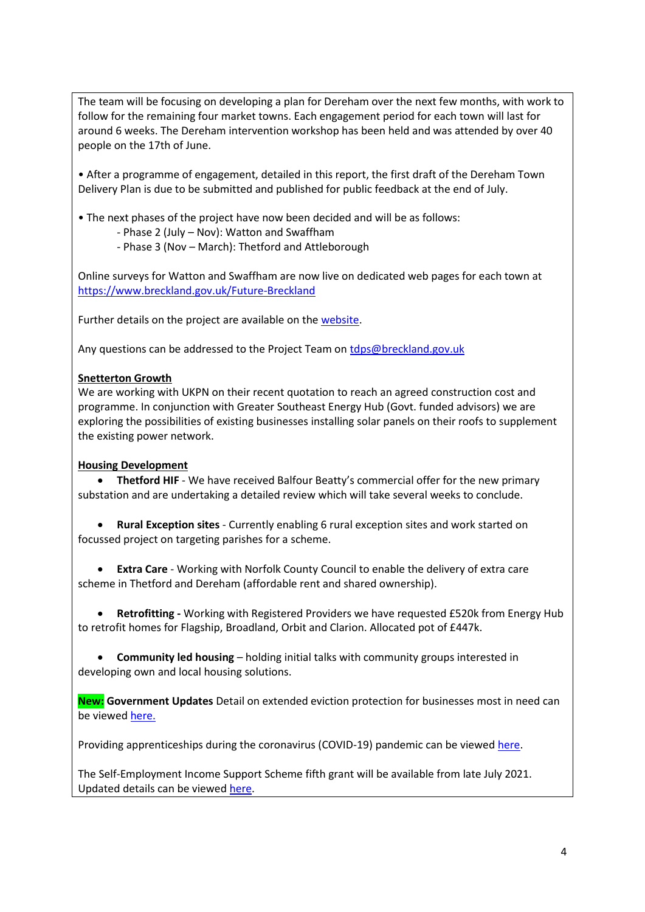The team will be focusing on developing a plan for Dereham over the next few months, with work to follow for the remaining four market towns. Each engagement period for each town will last for around 6 weeks. The Dereham intervention workshop has been held and was attended by over 40 people on the 17th of June.

• After a programme of engagement, detailed in this report, the first draft of the Dereham Town Delivery Plan is due to be submitted and published for public feedback at the end of July.

• The next phases of the project have now been decided and will be as follows:

- Phase 2 (July Nov): Watton and Swaffham
- Phase 3 (Nov March): Thetford and Attleborough

Online surveys for Watton and Swaffham are now live on dedicated web pages for each town at <https://www.breckland.gov.uk/Future-Breckland>

Further details on the project are available on the [website.](https://www.breckland.gov.uk/future-breckland)

Any questions can be addressed to the Project Team on [tdps@breckland.gov.uk](mailto:tdps@breckland.gov.uk)

#### **Snetterton Growth**

We are working with UKPN on their recent quotation to reach an agreed construction cost and programme. In conjunction with Greater Southeast Energy Hub (Govt. funded advisors) we are exploring the possibilities of existing businesses installing solar panels on their roofs to supplement the existing power network.

#### **Housing Development**

• **Thetford HIF** - We have received Balfour Beatty's commercial offer for the new primary substation and are undertaking a detailed review which will take several weeks to conclude.

• **Rural Exception sites** - Currently enabling 6 rural exception sites and work started on focussed project on targeting parishes for a scheme.

• **Extra Care** - Working with Norfolk County Council to enable the delivery of extra care scheme in Thetford and Dereham (affordable rent and shared ownership).

• **Retrofitting -** Working with Registered Providers we have requested £520k from Energy Hub to retrofit homes for Flagship, Broadland, Orbit and Clarion. Allocated pot of £447k.

• **Community led housing** – holding initial talks with community groups interested in developing own and local housing solutions.

**New: Government Updates** Detail on extended eviction protection for businesses most in need can be viewed [here.](file:///C:/Users/DNotley/AppData/Local/Microsoft/Windows/INetCache/Content.Outlook/TM4Q04XS/Eviction%20protection%20extended%20for%20businesses%20most%20in%20need)

Providing apprenticeships during the coronavirus (COVID-19) pandemic can be viewe[d here.](https://www.gov.uk/government/publications/coronavirus-covid-19-apprenticeship-programme-response)

The Self-Employment Income Support Scheme fifth grant will be available from late July 2021. Updated details can be viewed [here.](https://www.gov.uk/guidance/claim-a-grant-through-the-self-employment-income-support-scheme)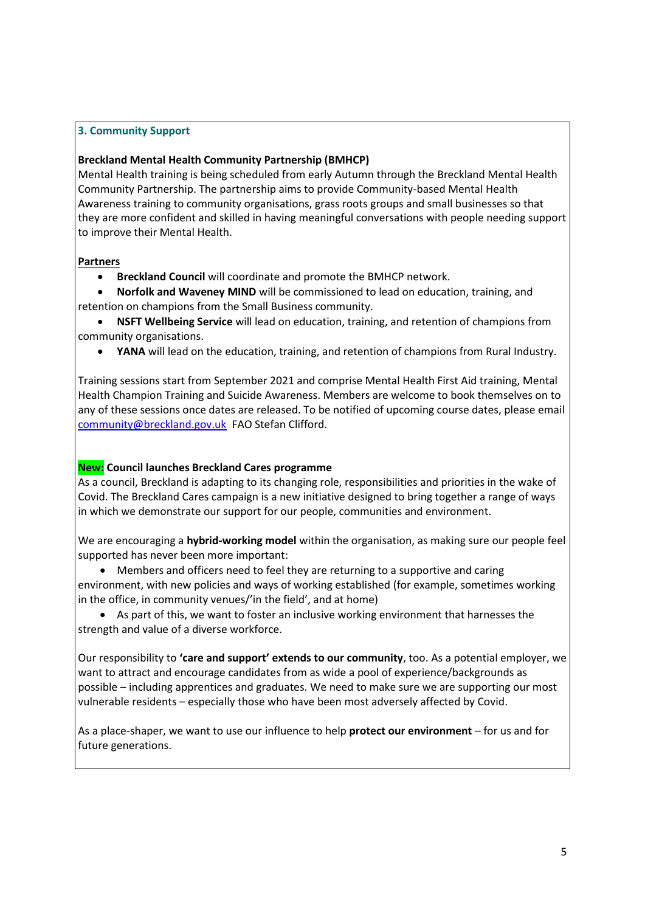# <span id="page-4-0"></span>**3. Community Support**

#### **Breckland Mental Health Community Partnership (BMHCP)**

Mental Health training is being scheduled from early Autumn through the Breckland Mental Health Community Partnership. The partnership aims to provide Community-based Mental Health Awareness training to community organisations, grass roots groups and small businesses so that they are more confident and skilled in having meaningful conversations with people needing support to improve their Mental Health.

#### **Partners**

• **Breckland Council** will coordinate and promote the BMHCP network.

• **Norfolk and Waveney MIND** will be commissioned to lead on education, training, and retention on champions from the Small Business community.

- **NSFT Wellbeing Service** will lead on education, training, and retention of champions from community organisations.
	- **YANA** will lead on the education, training, and retention of champions from Rural Industry.

Training sessions start from September 2021 and comprise Mental Health First Aid training, Mental Health Champion Training and Suicide Awareness. Members are welcome to book themselves on to any of these sessions once dates are released. To be notified of upcoming course dates, please email [community@breckland.gov.uk](mailto:community@breckland.gov.uk) FAO Stefan Clifford.

#### **New: Council launches Breckland Cares programme**

As a council, Breckland is adapting to its changing role, responsibilities and priorities in the wake of Covid. The Breckland Cares campaign is a new initiative designed to bring together a range of ways in which we demonstrate our support for our people, communities and environment.

We are encouraging a **hybrid-working model** within the organisation, as making sure our people feel supported has never been more important:

• Members and officers need to feel they are returning to a supportive and caring

environment, with new policies and ways of working established (for example, sometimes working in the office, in community venues/'in the field', and at home)

• As part of this, we want to foster an inclusive working environment that harnesses the strength and value of a diverse workforce.

Our responsibility to **'care and support' extends to our community**, too. As a potential employer, we want to attract and encourage candidates from as wide a pool of experience/backgrounds as possible – including apprentices and graduates. We need to make sure we are supporting our most vulnerable residents – especially those who have been most adversely affected by Covid.

As a place-shaper, we want to use our influence to help **protect our environment** – for us and for future generations.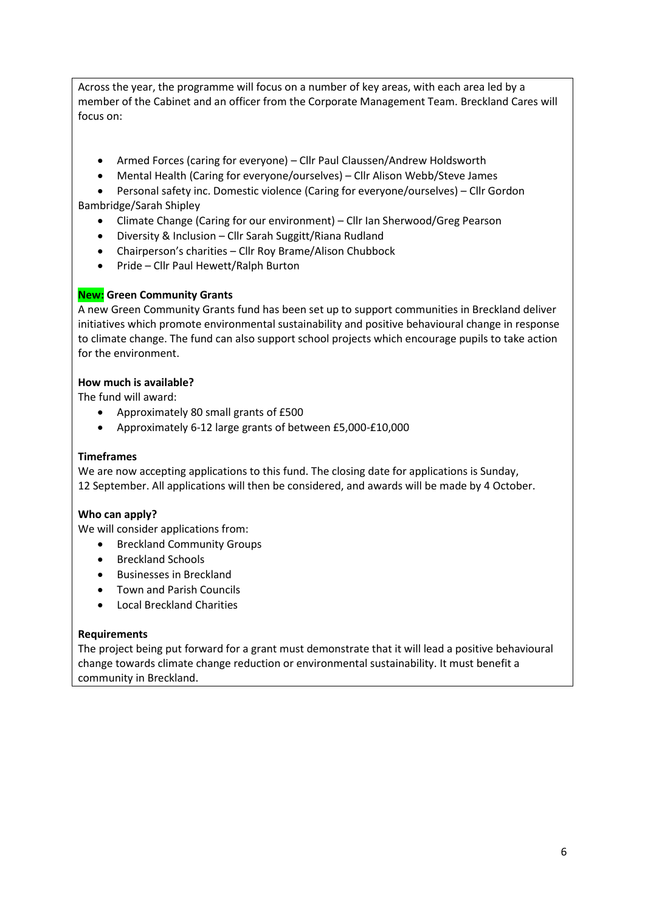Across the year, the programme will focus on a number of key areas, with each area led by a member of the Cabinet and an officer from the Corporate Management Team. Breckland Cares will focus on:

- Armed Forces (caring for everyone) Cllr Paul Claussen/Andrew Holdsworth
- Mental Health (Caring for everyone/ourselves) Cllr Alison Webb/Steve James
- Personal safety inc. Domestic violence (Caring for everyone/ourselves) Cllr Gordon Bambridge/Sarah Shipley
	- Climate Change (Caring for our environment) Cllr Ian Sherwood/Greg Pearson
	- Diversity & Inclusion Cllr Sarah Suggitt/Riana Rudland
	- Chairperson's charities Cllr Roy Brame/Alison Chubbock
	- Pride Cllr Paul Hewett/Ralph Burton

## **New: Green Community Grants**

A new Green Community Grants fund has been set up to support communities in Breckland deliver initiatives which promote environmental sustainability and positive behavioural change in response to climate change. The fund can also support school projects which encourage pupils to take action for the environment.

#### **How much is available?**

The fund will award:

- Approximately 80 small grants of £500
- Approximately 6-12 large grants of between £5,000-£10,000

#### **Timeframes**

We are now accepting applications to this fund. The closing date for applications is Sunday, 12 September. All applications will then be considered, and awards will be made by 4 October.

#### **Who can apply?**

We will consider applications from:

- Breckland Community Groups
- Breckland Schools
- Businesses in Breckland
- Town and Parish Councils
- Local Breckland Charities

#### **Requirements**

The project being put forward for a grant must demonstrate that it will lead a positive behavioural change towards climate change reduction or environmental sustainability. It must benefit a community in Breckland.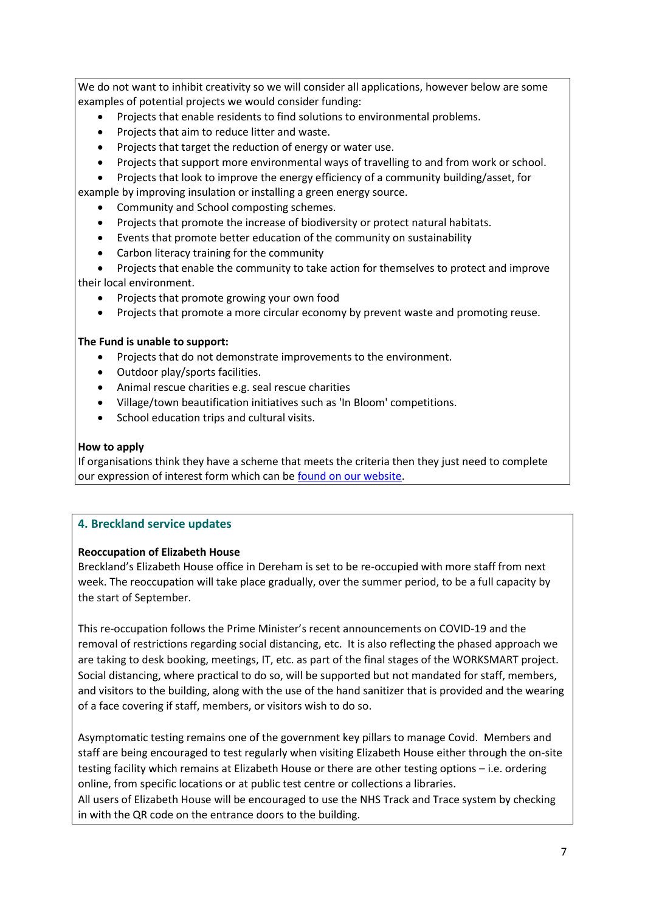We do not want to inhibit creativity so we will consider all applications, however below are some examples of potential projects we would consider funding:

- Projects that enable residents to find solutions to environmental problems.
- Projects that aim to reduce litter and waste.
- Projects that target the reduction of energy or water use.
- Projects that support more environmental ways of travelling to and from work or school.

• Projects that look to improve the energy efficiency of a community building/asset, for

example by improving insulation or installing a green energy source.

- Community and School composting schemes.
- Projects that promote the increase of biodiversity or protect natural habitats.
- Events that promote better education of the community on sustainability
- Carbon literacy training for the community

• Projects that enable the community to take action for themselves to protect and improve their local environment.

- Projects that promote growing your own food
- Projects that promote a more circular economy by prevent waste and promoting reuse.

#### **The Fund is unable to support:**

- Projects that do not demonstrate improvements to the environment.
- Outdoor play/sports facilities.
- Animal rescue charities e.g. seal rescue charities
- Village/town beautification initiatives such as 'In Bloom' competitions.
- School education trips and cultural visits.

#### **How to apply**

If organisations think they have a scheme that meets the criteria then they just need to complete our expression of interest form which can b[e found on our website.](https://www.breckland.gov.uk/climate-change/green-community-grants)

# <span id="page-6-0"></span>**4. Breckland service updates**

#### **Reoccupation of Elizabeth House**

Breckland's Elizabeth House office in Dereham is set to be re-occupied with more staff from next week. The reoccupation will take place gradually, over the summer period, to be a full capacity by the start of September.

This re-occupation follows the Prime Minister's recent announcements on COVID-19 and the removal of restrictions regarding social distancing, etc. It is also reflecting the phased approach we are taking to desk booking, meetings, IT, etc. as part of the final stages of the WORKSMART project. Social distancing, where practical to do so, will be supported but not mandated for staff, members, and visitors to the building, along with the use of the hand sanitizer that is provided and the wearing of a face covering if staff, members, or visitors wish to do so.

Asymptomatic testing remains one of the government key pillars to manage Covid. Members and staff are being encouraged to test regularly when visiting Elizabeth House either through the on-site testing facility which remains at Elizabeth House or there are other testing options – i.e. ordering online, from specific locations or at public test centre or collections a libraries. All users of Elizabeth House will be encouraged to use the NHS Track and Trace system by checking in with the QR code on the entrance doors to the building.